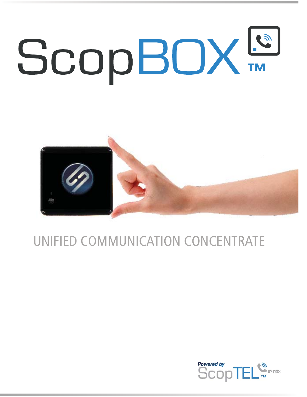



### UNIFIED COMMUNICATION CONCENTRATE

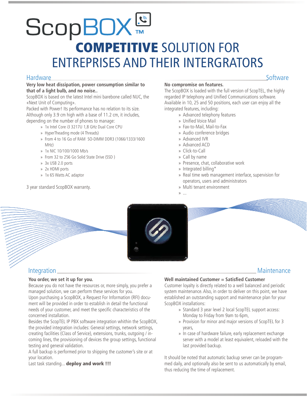# **CODBOX** ENTREPRISES AND THEIR INTERGRATORS

#### Hardware Software Software Software Software Software Software Software Software

#### **Very low heat dissipation, power consumption similar to that of a light bulb, and no noise..**

ScopBOX is based on the latest Intel mini barebone called NUC, the «Next Unit of Computing».

Packed with Power! Its performance has no relation to its size. Although only 3.9 cm high with a base of 11.2 cm, it includes, depending on the number of phones to manage:

- » 1x Intel Core i3 3217U 1,8 GHz Dual Core CPU
- » HyperTheading mode (4 Threads)
- » From 4 to 16 Go of RAM SO-DIMM DDR3 (1066/1333/1600 MHz)
- » 1x NIC 10/100/1000 Mb/s
- » From 32 to 256 Go Solid State Drive (SSD )
- » 3x USB 2.0 ports
- » 2x HDMI ports
- » 1x 65 Watts AC adaptor

3 year standard ScopBOX warranty.

#### **No compromise on features.**

The ScopBOX is loaded with the full version of ScopTEL, the highly regarded IP telephony and Unified Communications software. Available in 10, 25 and 50 positions, each user can enjoy all the integrated features, including:

- » Advanced telephony features
- » Unified Voice Mail
- » Fax-to-Mail, Mail-to-Fax
- » Audio conference bridges
- » Advanced IVR
- » Advanced ACD
- » Click-to-Call
- » Call by name
- » Presence, chat, collaborative work
- » Integrated billing\*
- » Real time web management interface, supervision for operators, users and administrators
- » Multi tenant environment
- » ...



#### Integration Maintenance

#### **You order, we set it up for you.**

Because you do not have the resources or, more simply, you prefer a managed solution, we can perform these services for you. Upon purchasing a ScopBOX, a Request For Information (RFI) document will be provided in order to establish in detail the functional needs of your customer, and meet the specific characteristics of the concerned installation.

Besides the ScopTEL IP PBX software integration whithin the ScopBOX, the provided integration includes: General settings, network settings, creating facilities (Class of Service), extensions, trunks, outgoing / incoming lines, the provisioning of devices the group settings, functional testing and general validation.

A full backup is performed prior to shipping the customer's site or at your location.

Last task standing... **deploy and work !!!**

#### **Well maintained Customer = Satisfied Customer**

Customer loyalty is directly related to a well balanced and periodic system maintenance. Also, in order to deliver on this point, we have established an outstanding support and maintenance plan for your ScopBOX installations:

- » Standard 3 year level 2 local ScopTEL support access: Monday to Friday from 9am to 6pm,
- » Provision for minor and major versions of ScopTEL for 3 years,
- » In case of hardware failure, early replacement exchange server with a model at least equivalent, reloaded with the last provided backup.

It should be noted that automatic backup server can be programmed daily, and optionally also be sent to us automatically by email, thus reducing the time of replacement.